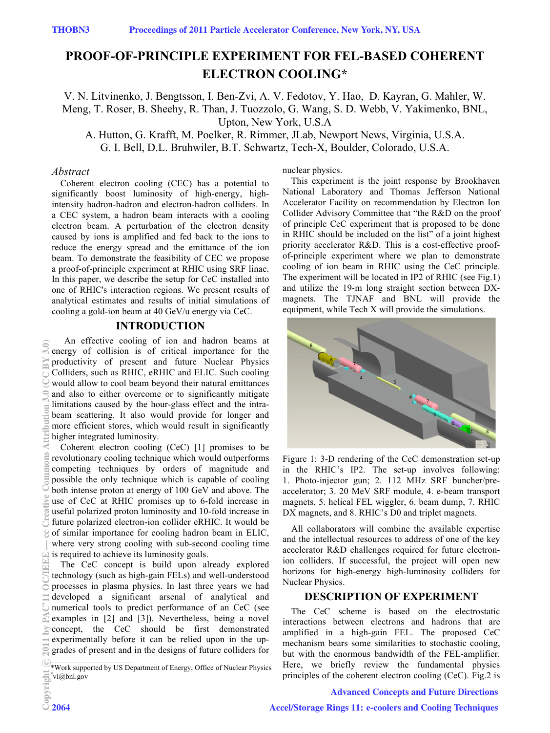# **PROOF-OF-PRINCIPLE EXPERIMENT FOR FEL-BASED COHERENT ELECTRON COOLING\***

V. N. Litvinenko, J. Bengtsson, I. Ben-Zvi, A. V. Fedotov, Y. Hao, D. Kayran, G. Mahler, W. Meng, T. Roser, B. Sheehy, R. Than, J. Tuozzolo, G. Wang, S. D. Webb, V. Yakimenko, BNL, Upton, New York, U.S.A

A. Hutton, G. Krafft, M. Poelker, R. Rimmer, JLab, Newport News, Virginia, U.S.A. G. I. Bell, D.L. Bruhwiler, B.T. Schwartz, Tech-X, Boulder, Colorado, U.S.A.

#### *Abstract*

Coherent electron cooling (CEC) has a potential to significantly boost luminosity of high-energy, highintensity hadron-hadron and electron-hadron colliders. In a CEC system, a hadron beam interacts with a cooling electron beam. A perturbation of the electron density caused by ions is amplified and fed back to the ions to reduce the energy spread and the emittance of the ion beam. To demonstrate the feasibility of CEC we propose a proof-of-principle experiment at RHIC using SRF linac. In this paper, we describe the setup for CeC installed into one of RHIC's interaction regions. We present results of analytical estimates and results of initial simulations of cooling a gold-ion beam at 40 GeV/u energy via CeC.

## **INTRODUCTION**

An effective cooling of ion and hadron beams at energy of collision is of critical importance for the productivity of present and future Nuclear Physics Colliders, such as RHIC, eRHIC and ELIC. Such cooling would allow to cool beam beyond their natural emittances and also to either overcome or to significantly mitigate limitations caused by the hour-glass effect and the intrabeam scattering. It also would provide for longer and more efficient stores, which would result in significantly higher integrated luminosity.

Coherent electron cooling (CeC) [1] promises to be revolutionary cooling technique which would outperforms competing techniques by orders of magnitude and possible the only technique which is capable of cooling both intense proton at energy of 100 GeV and above. The use of CeC at RHIC promises up to 6-fold increase in useful polarized proton luminosity and 10-fold increase in future polarized electron-ion collider eRHIC. It would be of similar importance for cooling hadron beam in ELIC, where very strong cooling with sub-second cooling time is required to achieve its luminosity goals.

The CeC concept is build upon already explored technology (such as high-gain FELs) and well-understood processes in plasma physics. In last three years we had developed a significant arsenal of analytical and numerical tools to predict performance of an CeC (see examples in [2] and [3]). Nevertheless, being a novel concept, the CeC should be first demonstrated experimentally before it can be relied upon in the upgrades of present and in the designs of future colliders for

nuclear physics.

This experiment is the joint response by Brookhaven National Laboratory and Thomas Jefferson National Accelerator Facility on recommendation by Electron Ion Collider Advisory Committee that "the R&D on the proof of principle CeC experiment that is proposed to be done in RHIC should be included on the list" of a joint highest priority accelerator R&D. This is a cost-effective proofof-principle experiment where we plan to demonstrate cooling of ion beam in RHIC using the CeC principle. The experiment will be located in IP2 of RHIC (see Fig.1) and utilize the 19-m long straight section between DXmagnets. The TJNAF and BNL will provide the equipment, while Tech X will provide the simulations.



Figure 1: 3-D rendering of the CeC demonstration set-up in the RHIC's IP2. The set-up involves following: 1. Photo-injector gun; 2. 112 MHz SRF buncher/preaccelerator; 3. 20 MeV SRF module, 4. e-beam transport magnets, 5. helical FEL wiggler, 6. beam dump, 7. RHIC DX magnets, and 8. RHIC's D0 and triplet magnets.

All collaborators will combine the available expertise and the intellectual resources to address of one of the key accelerator R&D challenges required for future electronion colliders. If successful, the project will open new horizons for high-energy high-luminosity colliders for Nuclear Physics.

## **DESCRIPTION OF EXPERIMENT**

The CeC scheme is based on the electrostatic interactions between electrons and hadrons that are amplified in a high-gain FEL. The proposed CeC mechanism bears some similarities to stochastic cooling, but with the enormous bandwidth of the FEL-amplifier. Here, we briefly review the fundamental physics principles of the coherent electron cooling (CeC). Fig.2 is

#### Advanced Concepts and Future Directions

<sup>\*</sup>Work supported by US Department of Energy, Office of Nuclear Physics # vl@bnl.gov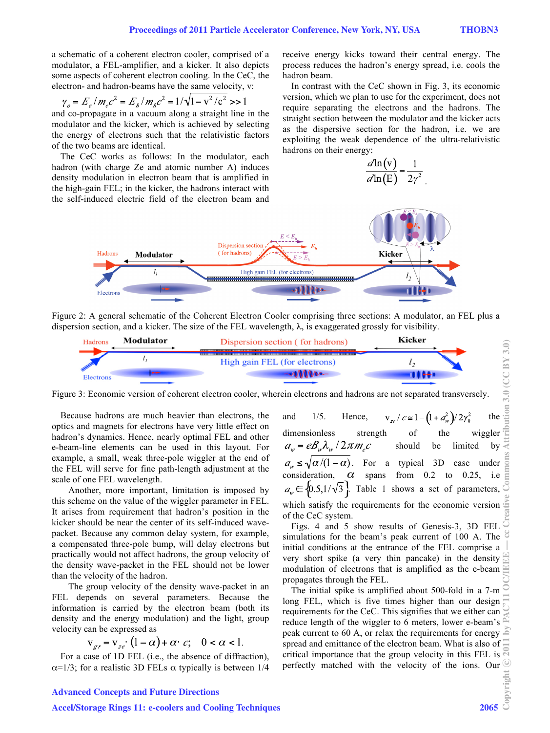a schematic of a coherent electron cooler, comprised of a modulator, a FEL-amplifier, and a kicker. It also depicts some aspects of coherent electron cooling. In the CeC, the electron- and hadron-beams have the same velocity, v:

$$
\gamma_o = E_e / m_e c^2 = E_h / m_h c^2 = 1 / \sqrt{1 - v^2 / c^2} \gg 1
$$

and co-propagate in a vacuum along a straight line in the modulator and the kicker, which is achieved by selecting the energy of electrons such that the relativistic factors of the two beams are identical.

The CeC works as follows: In the modulator, each hadron (with charge Ze and atomic number A) induces density modulation in electron beam that is amplified in the high-gain FEL; in the kicker, the hadrons interact with the self-induced electric field of the electron beam and receive energy kicks toward their central energy. The process reduces the hadron's energy spread, i.e. cools the hadron beam.

In contrast with the CeC shown in Fig. 3, its economic version, which we plan to use for the experiment, does not require separating the electrons and the hadrons. The straight section between the modulator and the kicker acts as the dispersive section for the hadron, i.e. we are exploiting the weak dependence of the ultra-relativistic hadrons on their energy:

$$
\frac{d\ln(v)}{d\ln(E)} = \frac{1}{2\gamma^2}
$$

.



Figure 2: A general schematic of the Coherent Electron Cooler comprising three sections: A modulator, an FEL plus a dispersion section, and a kicker. The size of the FEL wavelength, λ, is exaggerated grossly for visibility.



Figure 3: Economic version of coherent electron cooler, wherein electrons and hadrons are not separated transversely.

Because hadrons are much heavier than electrons, the optics and magnets for electrons have very little effect on hadron's dynamics. Hence, nearly optimal FEL and other e-beam-line elements can be used in this layout. For example, a small, weak three-pole wiggler at the end of the FEL will serve for fine path-length adjustment at the scale of one FEL wavelength.

Another, more important, limitation is imposed by this scheme on the value of the wiggler parameter in FEL. It arises from requirement that hadron's position in the kicker should be near the center of its self-induced wavepacket. Because any common delay system, for example, a compensated three-pole bump, will delay electrons but practically would not affect hadrons, the group velocity of the density wave-packet in the FEL should not be lower than the velocity of the hadron.

The group velocity of the density wave-packet in an FEL depends on several parameters. Because the information is carried by the electron beam (both its density and the energy modulation) and the light, group velocity can be expressed as

$$
v_{er} = v_{ze} \cdot (1 - \alpha) + \alpha \cdot c; \quad 0 < \alpha < 1.
$$

For a case of 1D FEL (i.e., the absence of diffraction),  $\alpha$ =1/3; for a realistic 3D FELs  $\alpha$  typically is between 1/4

dimensionless strength of the wiggler  $a_w = e B_w \lambda_w / 2 \pi m_c c$ should be limited by . For a typical 3D case under consideration,  $\alpha$  spans from 0.2 to 0.25, i.e  $a_{\psi} \in \{0.5, 1/\sqrt{3}\}\$ . Table 1 shows a set of parameters, which satisfy the requirements for the economic version of the CeC system.

Figs. 4 and 5 show results of Genesis-3, 3D FEL simulations for the beam's peak current of 100 A. The initial conditions at the entrance of the FEL comprise a very short spike (a very thin pancake) in the density modulation of electrons that is amplified as the e-beam  $\triangle$ propagates through the FEL.

The initial spike is amplified about 500-fold in a 7-m long FEL, which is five times higher than our design requirements for the CeC. This signifies that we either can reduce length of the wiggler to 6 meters, lower e-beam's peak current to 60 A, or relax the requirements for energy  $\leq$ spread and emittance of the electron beam. What is also of critical importance that the group velocity in this FEL is  $\overline{N}$ perfectly matched with the velocity of the ions. Our  $\frac{1}{2}$ <br> $\frac{1}{2}$ <br>2065